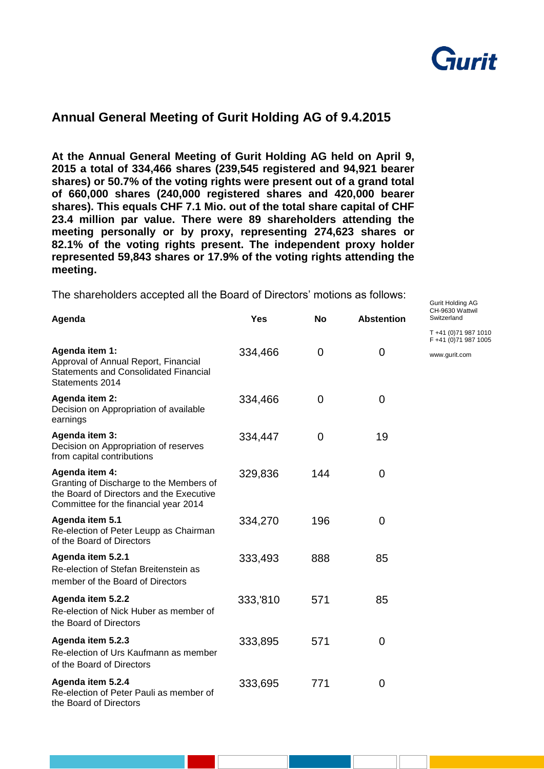

Gurit Holding AG

## **Annual General Meeting of Gurit Holding AG of 9.4.2015**

**At the Annual General Meeting of Gurit Holding AG held on April 9, 2015 a total of 334,466 shares (239,545 registered and 94,921 bearer shares) or 50.7% of the voting rights were present out of a grand total of 660,000 shares (240,000 registered shares and 420,000 bearer shares). This equals CHF 7.1 Mio. out of the total share capital of CHF 23.4 million par value. There were 89 shareholders attending the meeting personally or by proxy, representing 274,623 shares or 82.1% of the voting rights present. The independent proxy holder represented 59,843 shares or 17.9% of the voting rights attending the meeting.** 

The shareholders accepted all the Board of Directors' motions as follows:

| Agenda                                                                                                                                         | <b>Yes</b> | <b>No</b> | <b>Abstention</b> | CH-9630 Wattwil<br>Switzerland                |
|------------------------------------------------------------------------------------------------------------------------------------------------|------------|-----------|-------------------|-----------------------------------------------|
|                                                                                                                                                |            |           |                   | T +41 (0) 71 987 1010<br>F +41 (0)71 987 1005 |
| Agenda item 1:<br>Approval of Annual Report, Financial<br><b>Statements and Consolidated Financial</b><br>Statements 2014                      | 334,466    | 0         | $\mathbf 0$       | www.gurit.com                                 |
| Agenda item 2:<br>Decision on Appropriation of available<br>earnings                                                                           | 334,466    | 0         | 0                 |                                               |
| Agenda item 3:<br>Decision on Appropriation of reserves<br>from capital contributions                                                          | 334,447    | 0         | 19                |                                               |
| Agenda item 4:<br>Granting of Discharge to the Members of<br>the Board of Directors and the Executive<br>Committee for the financial year 2014 | 329,836    | 144       | 0                 |                                               |
| Agenda item 5.1<br>Re-election of Peter Leupp as Chairman<br>of the Board of Directors                                                         | 334,270    | 196       | $\overline{0}$    |                                               |
| Agenda item 5.2.1<br>Re-election of Stefan Breitenstein as<br>member of the Board of Directors                                                 | 333,493    | 888       | 85                |                                               |
| Agenda item 5.2.2<br>Re-election of Nick Huber as member of<br>the Board of Directors                                                          | 333,'810   | 571       | 85                |                                               |
| Agenda item 5.2.3<br>Re-election of Urs Kaufmann as member<br>of the Board of Directors                                                        | 333,895    | 571       | 0                 |                                               |
| Agenda item 5.2.4<br>Re-election of Peter Pauli as member of<br>the Board of Directors                                                         | 333,695    | 771       | $\mathbf 0$       |                                               |